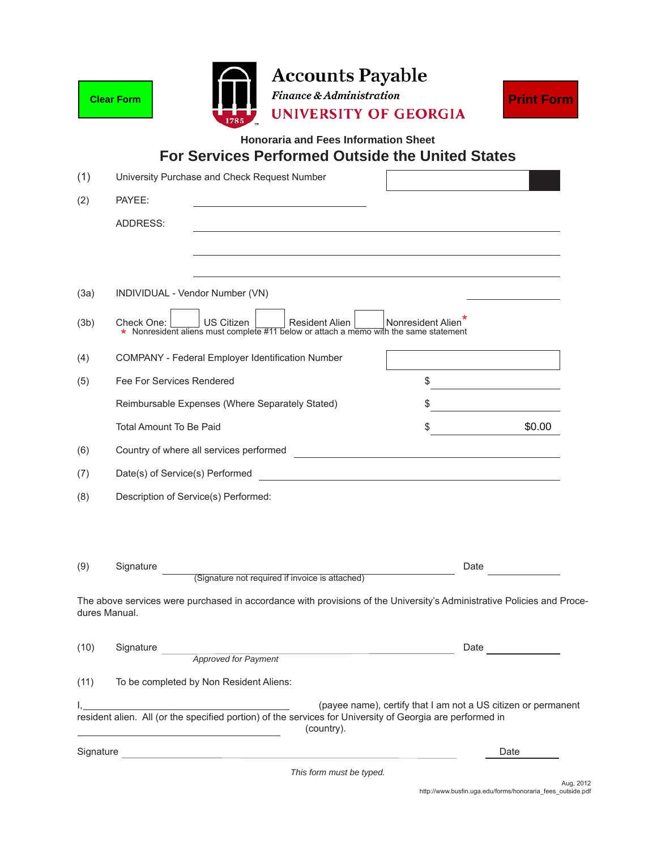|           | <b>Clear Form</b>                                                                                                                                        | <b>Accounts Payable</b><br><b>Finance &amp; Administration</b><br><b>UNIVERSITY OF GEORGIA</b>         |                                                                                                                      | <b>Print Form</b>                                                                                                                                                                                                              |
|-----------|----------------------------------------------------------------------------------------------------------------------------------------------------------|--------------------------------------------------------------------------------------------------------|----------------------------------------------------------------------------------------------------------------------|--------------------------------------------------------------------------------------------------------------------------------------------------------------------------------------------------------------------------------|
|           |                                                                                                                                                          | <b>Honoraria and Fees Information Sheet</b><br><b>For Services Performed Outside the United States</b> |                                                                                                                      |                                                                                                                                                                                                                                |
| (1)       | University Purchase and Check Request Number                                                                                                             |                                                                                                        |                                                                                                                      |                                                                                                                                                                                                                                |
| (2)       | PAYEE:                                                                                                                                                   |                                                                                                        |                                                                                                                      |                                                                                                                                                                                                                                |
|           | ADDRESS:                                                                                                                                                 |                                                                                                        |                                                                                                                      |                                                                                                                                                                                                                                |
|           |                                                                                                                                                          |                                                                                                        |                                                                                                                      |                                                                                                                                                                                                                                |
|           |                                                                                                                                                          |                                                                                                        |                                                                                                                      |                                                                                                                                                                                                                                |
| (3a)      | INDIVIDUAL - Vendor Number (VN)                                                                                                                          |                                                                                                        |                                                                                                                      |                                                                                                                                                                                                                                |
| (3b)      | Nonresident Alien<br>US Citizen<br>Check One:<br>Resident Alien<br>* Nonresident aliens must complete #11 below or attach a memo with the same statement |                                                                                                        |                                                                                                                      |                                                                                                                                                                                                                                |
| (4)       | <b>COMPANY - Federal Employer Identification Number</b>                                                                                                  |                                                                                                        |                                                                                                                      |                                                                                                                                                                                                                                |
| (5)       | Fee For Services Rendered                                                                                                                                |                                                                                                        | \$                                                                                                                   |                                                                                                                                                                                                                                |
|           | Reimbursable Expenses (Where Separately Stated)                                                                                                          |                                                                                                        |                                                                                                                      |                                                                                                                                                                                                                                |
|           | Total Amount To Be Paid                                                                                                                                  |                                                                                                        | \$                                                                                                                   | \$0.00                                                                                                                                                                                                                         |
| (6)       | Country of where all services performed                                                                                                                  |                                                                                                        | <u> 1980 - Jan Stein Stein Stein Stein Stein Stein Stein Stein Stein Stein Stein Stein Stein Stein Stein Stein S</u> |                                                                                                                                                                                                                                |
| (7)       | Date(s) of Service(s) Performed                                                                                                                          |                                                                                                        | <u> 1980 - Johann Stoff, fransk politik (d. 1980)</u>                                                                |                                                                                                                                                                                                                                |
| (8)       | Description of Service(s) Performed:                                                                                                                     |                                                                                                        |                                                                                                                      |                                                                                                                                                                                                                                |
|           |                                                                                                                                                          |                                                                                                        |                                                                                                                      |                                                                                                                                                                                                                                |
|           |                                                                                                                                                          |                                                                                                        |                                                                                                                      |                                                                                                                                                                                                                                |
| (9)       | Signature                                                                                                                                                | (Signature not required if invoice is attached)                                                        | Date                                                                                                                 |                                                                                                                                                                                                                                |
|           | The above services were purchased in accordance with provisions of the University's Administrative Policies and Proce-<br>dures Manual.                  |                                                                                                        |                                                                                                                      |                                                                                                                                                                                                                                |
| (10)      |                                                                                                                                                          |                                                                                                        |                                                                                                                      | Date and the state of the state of the state of the state of the state of the state of the state of the state of the state of the state of the state of the state of the state of the state of the state of the state of the s |
|           | Signature<br>Approved for Payment                                                                                                                        |                                                                                                        |                                                                                                                      |                                                                                                                                                                                                                                |
| (11)      | To be completed by Non Resident Aliens:                                                                                                                  |                                                                                                        |                                                                                                                      |                                                                                                                                                                                                                                |
|           | resident alien. All (or the specified portion) of the services for University of Georgia are performed in                                                | (country).                                                                                             | (payee name), certify that I am not a US citizen or permanent                                                        |                                                                                                                                                                                                                                |
| Signature |                                                                                                                                                          |                                                                                                        |                                                                                                                      | Date                                                                                                                                                                                                                           |

*This form must be typed.*